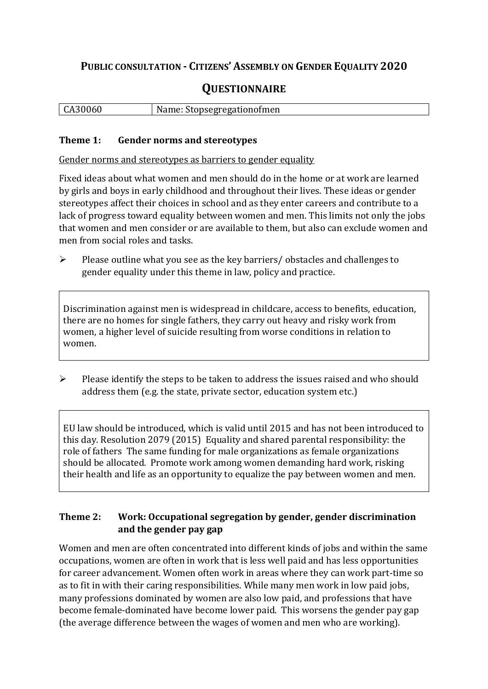## **PUBLIC CONSULTATION - CITIZENS' ASSEMBLY ON GENDER EQUALITY 2020**

# **QUESTIONNAIRE**

| CA30060 | Name: Stopsegregationofmen |
|---------|----------------------------|
|         |                            |

#### **Theme 1: Gender norms and stereotypes**

Gender norms and stereotypes as barriers to gender equality

Fixed ideas about what women and men should do in the home or at work are learned by girls and boys in early childhood and throughout their lives. These ideas or gender stereotypes affect their choices in school and as they enter careers and contribute to a lack of progress toward equality between women and men. This limits not only the jobs that women and men consider or are available to them, but also can exclude women and men from social roles and tasks.

➢ Please outline what you see as the key barriers/ obstacles and challenges to gender equality under this theme in law, policy and practice.

Discrimination against men is widespread in childcare, access to benefits, education, there are no homes for single fathers, they carry out heavy and risky work from women, a higher level of suicide resulting from worse conditions in relation to women.

 $\triangleright$  Please identify the steps to be taken to address the issues raised and who should address them (e.g. the state, private sector, education system etc.)

EU law should be introduced, which is valid until 2015 and has not been introduced to this day. Resolution 2079 (2015) Equality and shared parental responsibility: the role of fathers The same funding for male organizations as female organizations should be allocated. Promote work among women demanding hard work, risking their health and life as an opportunity to equalize the pay between women and men.

#### **Theme 2: Work: Occupational segregation by gender, gender discrimination and the gender pay gap**

Women and men are often concentrated into different kinds of jobs and within the same occupations, women are often in work that is less well paid and has less opportunities for career advancement. Women often work in areas where they can work part-time so as to fit in with their caring responsibilities. While many men work in low paid jobs, many professions dominated by women are also low paid, and professions that have become female-dominated have become lower paid. This worsens the gender pay gap (the average difference between the wages of women and men who are working).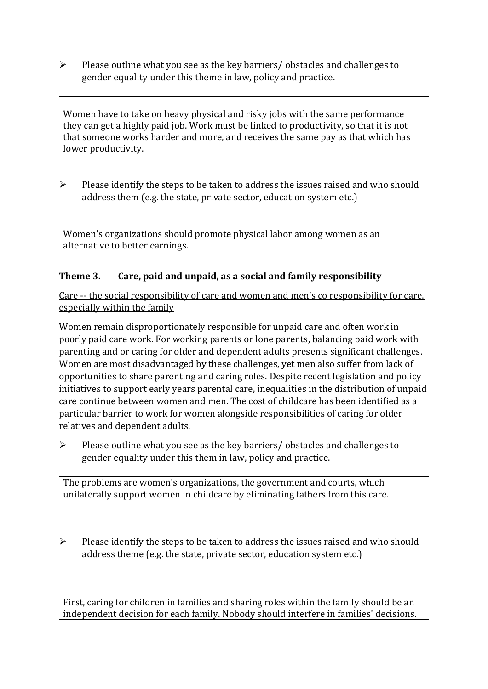➢ Please outline what you see as the key barriers/ obstacles and challenges to gender equality under this theme in law, policy and practice.

Women have to take on heavy physical and risky jobs with the same performance they can get a highly paid job. Work must be linked to productivity, so that it is not that someone works harder and more, and receives the same pay as that which has lower productivity.

 $\triangleright$  Please identify the steps to be taken to address the issues raised and who should address them (e.g. the state, private sector, education system etc.)

Women's organizations should promote physical labor among women as an alternative to better earnings.

#### **Theme 3. Care, paid and unpaid, as a social and family responsibility**

Care -- the social responsibility of care and women and men's co responsibility for care, especially within the family

Women remain disproportionately responsible for unpaid care and often work in poorly paid care work. For working parents or [lone parents,](https://aran.library.nuigalway.ie/bitstream/handle/10379/6044/Millar_and_Crosse_Activation_Report.pdf?sequence=1&isAllowed=y) balancing paid work with parenting and or caring for older and dependent adults presents significant challenges. Women are [most disadvantaged by these challenges,](https://eige.europa.eu/gender-equality-index/game/IE/W) yet men also suffer from lack of opportunities to share parenting and caring roles. Despite recent legislation and policy initiatives to support early years parental care, [inequalities in the distribution of unpaid](https://www.ihrec.ie/app/uploads/2019/07/Caring-and-Unpaid-Work-in-Ireland_Final.pdf)  [care](https://www.ihrec.ie/app/uploads/2019/07/Caring-and-Unpaid-Work-in-Ireland_Final.pdf) continue between women and men. The cost of childcare has been identified as a particular barrier to work for women alongside responsibilities of caring for older relatives and dependent adults.

➢ Please outline what you see as the key barriers/ obstacles and challenges to gender equality under this them in law, policy and practice.

The problems are women's organizations, the government and courts, which unilaterally support women in childcare by eliminating fathers from this care.

 $\triangleright$  Please identify the steps to be taken to address the issues raised and who should address theme (e.g. the state, private sector, education system etc.)

First, caring for children in families and sharing roles within the family should be an independent decision for each family. Nobody should interfere in families' decisions.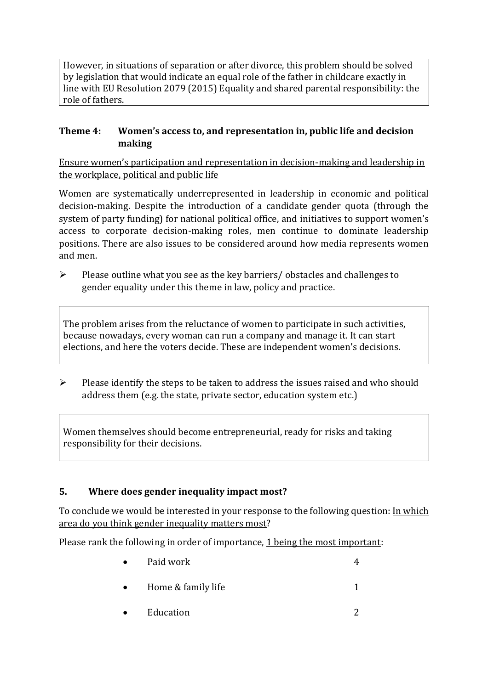However, in situations of separation or after divorce, this problem should be solved by legislation that would indicate an equal role of the father in childcare exactly in line with EU Resolution 2079 (2015) Equality and shared parental responsibility: the role of fathers.

#### **Theme 4: Women's access to, and representation in, public life and decision making**

Ensure women's participation and representation in decision-making and leadership in the workplace, political and public life

Women are systematically underrepresented in leadership in [economic](https://eige.europa.eu/gender-equality-index/2019/compare-countries/power/2/bar) and [political](https://eige.europa.eu/gender-equality-index/2019/compare-countries/power/1/bar)  [decision-](https://eige.europa.eu/gender-equality-index/2019/compare-countries/power/1/bar)making. Despite the introduction of a candidate gender quota (through the system of party funding) for national political office, and [initiatives](https://betterbalance.ie/) to support women's access to corporate decision-making roles, men continue to dominate leadership positions. There are also issues to be considered around how media represents women and men.

➢ Please outline what you see as the key barriers/ obstacles and challenges to gender equality under this theme in law, policy and practice.

The problem arises from the reluctance of women to participate in such activities, because nowadays, every woman can run a company and manage it. It can start elections, and here the voters decide. These are independent women's decisions.

 $\triangleright$  Please identify the steps to be taken to address the issues raised and who should address them (e.g. the state, private sector, education system etc.)

Women themselves should become entrepreneurial, ready for risks and taking responsibility for their decisions.

### **5. Where does gender inequality impact most?**

To conclude we would be interested in your response to the following question: In which area do you think gender inequality matters most?

Please rank the following in order of importance, 1 being the most important:

- Paid work 4 • Home  $\&$  family life  $\qquad \qquad \qquad$  1
	- Education 2